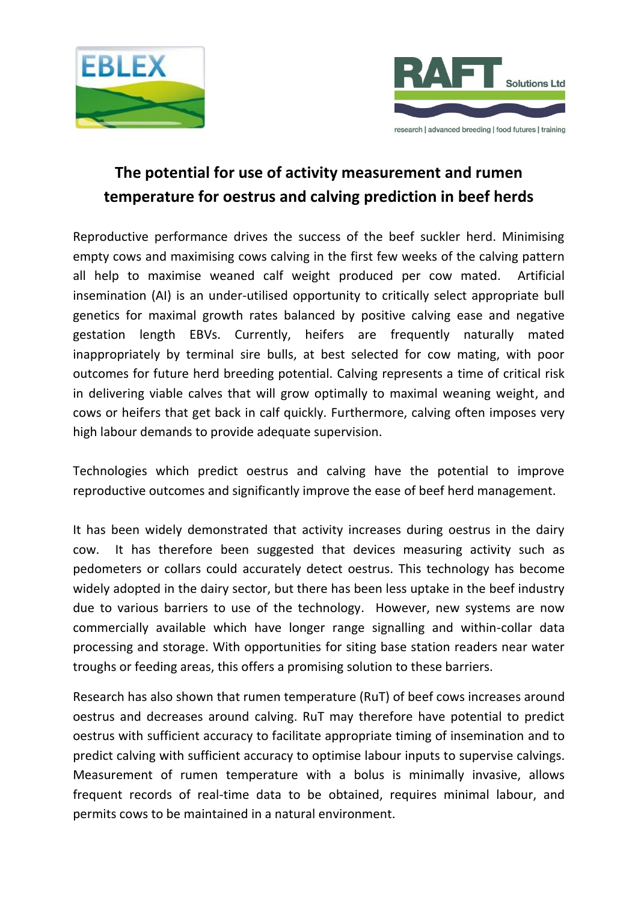



# **The potential for use of activity measurement and rumen temperature for oestrus and calving prediction in beef herds**

Reproductive performance drives the success of the beef suckler herd. Minimising empty cows and maximising cows calving in the first few weeks of the calving pattern all help to maximise weaned calf weight produced per cow mated. Artificial insemination (AI) is an under-utilised opportunity to critically select appropriate bull genetics for maximal growth rates balanced by positive calving ease and negative gestation length EBVs. Currently, heifers are frequently naturally mated inappropriately by terminal sire bulls, at best selected for cow mating, with poor outcomes for future herd breeding potential. Calving represents a time of critical risk in delivering viable calves that will grow optimally to maximal weaning weight, and cows or heifers that get back in calf quickly. Furthermore, calving often imposes very high labour demands to provide adequate supervision.

Technologies which predict oestrus and calving have the potential to improve reproductive outcomes and significantly improve the ease of beef herd management.

It has been widely demonstrated that activity increases during oestrus in the dairy cow. It has therefore been suggested that devices measuring activity such as pedometers or collars could accurately detect oestrus. This technology has become widely adopted in the dairy sector, but there has been less uptake in the beef industry due to various barriers to use of the technology. However, new systems are now commercially available which have longer range signalling and within-collar data processing and storage. With opportunities for siting base station readers near water troughs or feeding areas, this offers a promising solution to these barriers.

Research has also shown that rumen temperature (RuT) of beef cows increases around oestrus and decreases around calving. RuT may therefore have potential to predict oestrus with sufficient accuracy to facilitate appropriate timing of insemination and to predict calving with sufficient accuracy to optimise labour inputs to supervise calvings. Measurement of rumen temperature with a bolus is minimally invasive, allows frequent records of real-time data to be obtained, requires minimal labour, and permits cows to be maintained in a natural environment.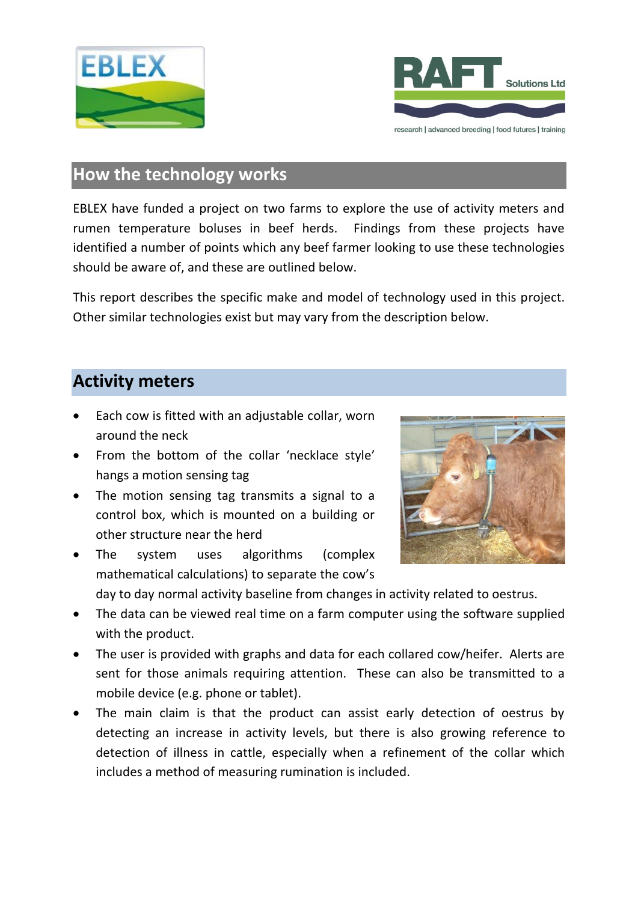



# **How the technology works**

EBLEX have funded a project on two farms to explore the use of activity meters and rumen temperature boluses in beef herds. Findings from these projects have identified a number of points which any beef farmer looking to use these technologies should be aware of, and these are outlined below.

This report describes the specific make and model of technology used in this project. Other similar technologies exist but may vary from the description below.

# **Activity meters**

- Each cow is fitted with an adjustable collar, worn around the neck
- From the bottom of the collar 'necklace style' hangs a motion sensing tag
- The motion sensing tag transmits a signal to a control box, which is mounted on a building or other structure near the herd
- The system uses algorithms (complex mathematical calculations) to separate the cow's



day to day normal activity baseline from changes in activity related to oestrus.

- The data can be viewed real time on a farm computer using the software supplied with the product.
- The user is provided with graphs and data for each collared cow/heifer. Alerts are sent for those animals requiring attention. These can also be transmitted to a mobile device (e.g. phone or tablet).
- The main claim is that the product can assist early detection of oestrus by detecting an increase in activity levels, but there is also growing reference to detection of illness in cattle, especially when a refinement of the collar which includes a method of measuring rumination is included.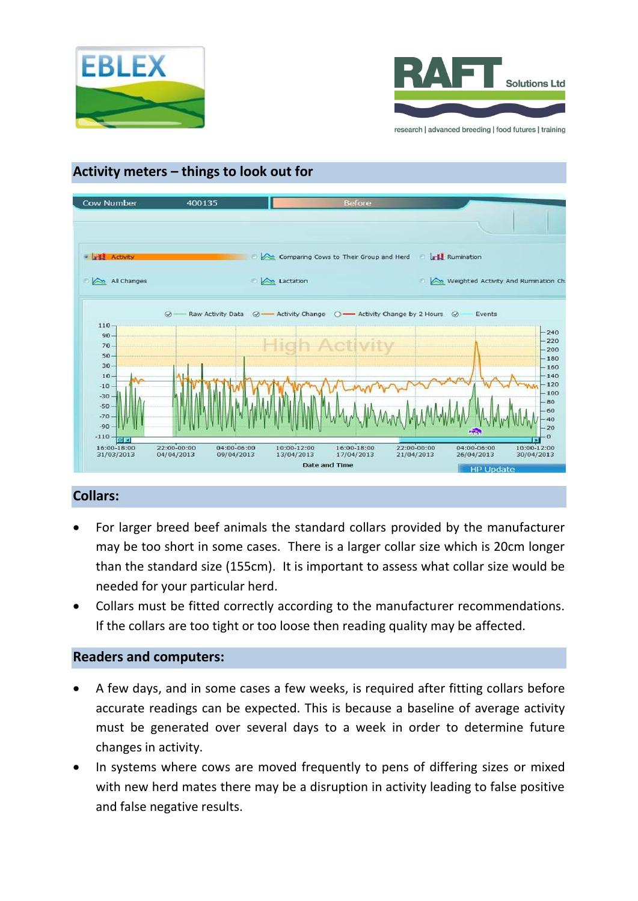



# **Activity meters – things to look out for**



### **Collars:**

- For larger breed beef animals the standard collars provided by the manufacturer may be too short in some cases. There is a larger collar size which is 20cm longer than the standard size (155cm). It is important to assess what collar size would be needed for your particular herd.
- Collars must be fitted correctly according to the manufacturer recommendations. If the collars are too tight or too loose then reading quality may be affected.

### **Readers and computers:**

- A few days, and in some cases a few weeks, is required after fitting collars before accurate readings can be expected. This is because a baseline of average activity must be generated over several days to a week in order to determine future changes in activity.
- In systems where cows are moved frequently to pens of differing sizes or mixed with new herd mates there may be a disruption in activity leading to false positive and false negative results.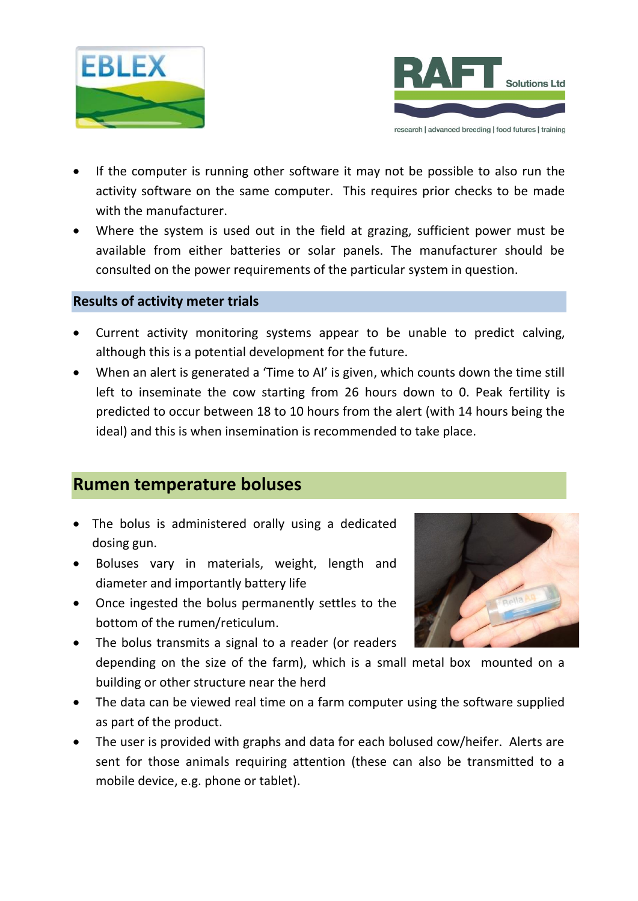



- If the computer is running other software it may not be possible to also run the activity software on the same computer. This requires prior checks to be made with the manufacturer.
- Where the system is used out in the field at grazing, sufficient power must be available from either batteries or solar panels. The manufacturer should be consulted on the power requirements of the particular system in question.

### **Results of activity meter trials**

- Current activity monitoring systems appear to be unable to predict calving, although this is a potential development for the future.
- When an alert is generated a 'Time to AI' is given, which counts down the time still left to inseminate the cow starting from 26 hours down to 0. Peak fertility is predicted to occur between 18 to 10 hours from the alert (with 14 hours being the ideal) and this is when insemination is recommended to take place.

# **Rumen temperature boluses**

- The bolus is administered orally using a dedicated dosing gun.
- Boluses vary in materials, weight, length and diameter and importantly battery life
- Once ingested the bolus permanently settles to the bottom of the rumen/reticulum.



- The bolus transmits a signal to a reader (or readers depending on the size of the farm), which is a small metal box mounted on a building or other structure near the herd
- The data can be viewed real time on a farm computer using the software supplied as part of the product.
- The user is provided with graphs and data for each bolused cow/heifer. Alerts are sent for those animals requiring attention (these can also be transmitted to a mobile device, e.g. phone or tablet).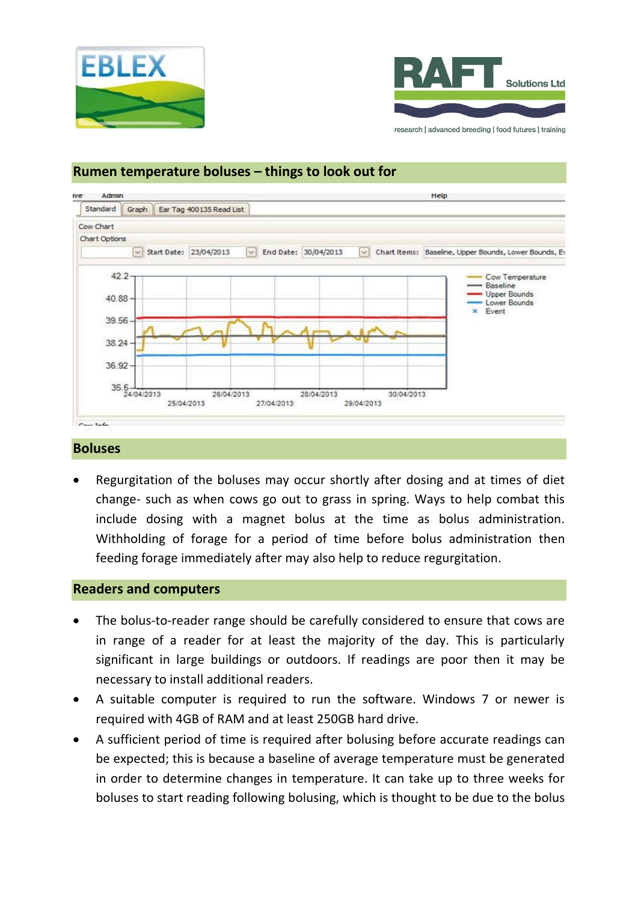



#### Admin Help **tve** Standard Graph Ear Tag 400135 Read List Cow Chart Chart Ontions Chart Items: Baseline, Upper Bounds, Lower Bounds, Ev Start Date: 23/04/2013  $\sim$ End Date: 30/04/2013 42.2 Cow Temperature Baseline **Upper Bounds** 40.88 Lower Bounds Event 39.56 38.24 36.92  $35.6 - 24/04/2013$ 28/04/2013 30/04/2013 26/04/2013 25/04/2013 27/04/2013 29/04/2013

### **Rumen temperature boluses – things to look out for**

#### **Boluses**

 Regurgitation of the boluses may occur shortly after dosing and at times of diet change- such as when cows go out to grass in spring. Ways to help combat this include dosing with a magnet bolus at the time as bolus administration. Withholding of forage for a period of time before bolus administration then feeding forage immediately after may also help to reduce regurgitation.

#### **Readers and computers**

- The bolus-to-reader range should be carefully considered to ensure that cows are in range of a reader for at least the majority of the day. This is particularly significant in large buildings or outdoors. If readings are poor then it may be necessary to install additional readers.
- A suitable computer is required to run the software. Windows 7 or newer is required with 4GB of RAM and at least 250GB hard drive.
- A sufficient period of time is required after bolusing before accurate readings can be expected; this is because a baseline of average temperature must be generated in order to determine changes in temperature. It can take up to three weeks for boluses to start reading following bolusing, which is thought to be due to the bolus